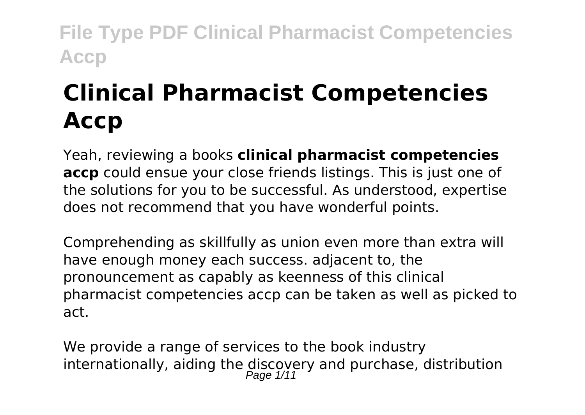# **Clinical Pharmacist Competencies Accp**

Yeah, reviewing a books **clinical pharmacist competencies accp** could ensue your close friends listings. This is just one of the solutions for you to be successful. As understood, expertise does not recommend that you have wonderful points.

Comprehending as skillfully as union even more than extra will have enough money each success. adjacent to, the pronouncement as capably as keenness of this clinical pharmacist competencies accp can be taken as well as picked to act.

We provide a range of services to the book industry internationally, aiding the discovery and purchase, distribution<br> $P_{\text{age 1/11}}$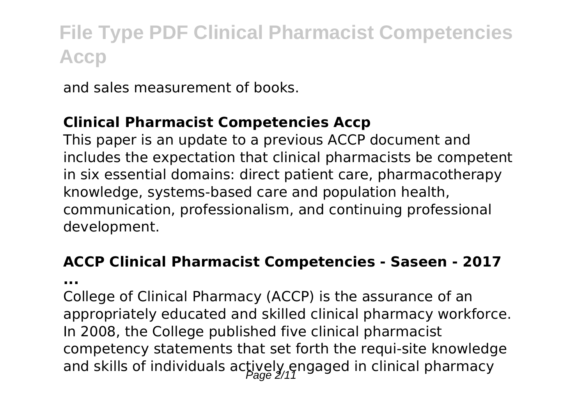and sales measurement of books.

#### **Clinical Pharmacist Competencies Accp**

This paper is an update to a previous ACCP document and includes the expectation that clinical pharmacists be competent in six essential domains: direct patient care, pharmacotherapy knowledge, systems‐based care and population health, communication, professionalism, and continuing professional development.

#### **ACCP Clinical Pharmacist Competencies - Saseen - 2017**

**...**

College of Clinical Pharmacy (ACCP) is the assurance of an appropriately educated and skilled clinical pharmacy workforce. In 2008, the College published five clinical pharmacist competency statements that set forth the requi-site knowledge and skills of individuals actively engaged in clinical pharmacy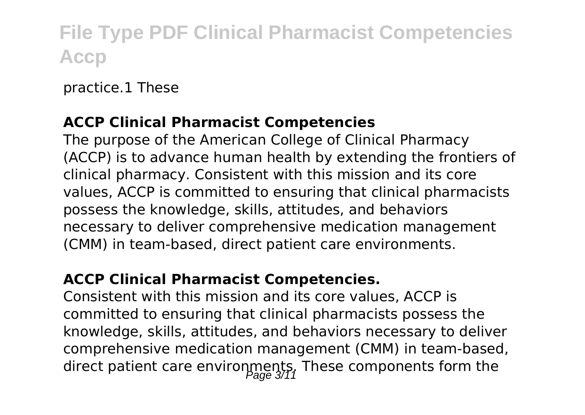practice.1 These

#### **ACCP Clinical Pharmacist Competencies**

The purpose of the American College of Clinical Pharmacy (ACCP) is to advance human health by extending the frontiers of clinical pharmacy. Consistent with this mission and its core values, ACCP is committed to ensuring that clinical pharmacists possess the knowledge, skills, attitudes, and behaviors necessary to deliver comprehensive medication management (CMM) in team-based, direct patient care environments.

#### **ACCP Clinical Pharmacist Competencies.**

Consistent with this mission and its core values, ACCP is committed to ensuring that clinical pharmacists possess the knowledge, skills, attitudes, and behaviors necessary to deliver comprehensive medication management (CMM) in team-based, direct patient care environments, These components form the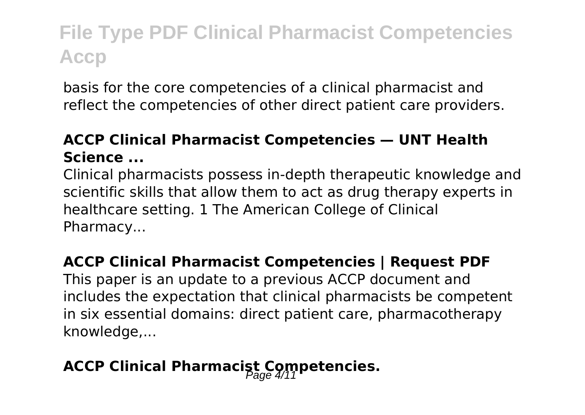basis for the core competencies of a clinical pharmacist and reflect the competencies of other direct patient care providers.

#### **ACCP Clinical Pharmacist Competencies — UNT Health Science ...**

Clinical pharmacists possess in-depth therapeutic knowledge and scientific skills that allow them to act as drug therapy experts in healthcare setting. 1 The American College of Clinical Pharmacy...

#### **ACCP Clinical Pharmacist Competencies | Request PDF**

This paper is an update to a previous ACCP document and includes the expectation that clinical pharmacists be competent in six essential domains: direct patient care, pharmacotherapy knowledge,...

### **ACCP Clinical Pharmacist Competencies.**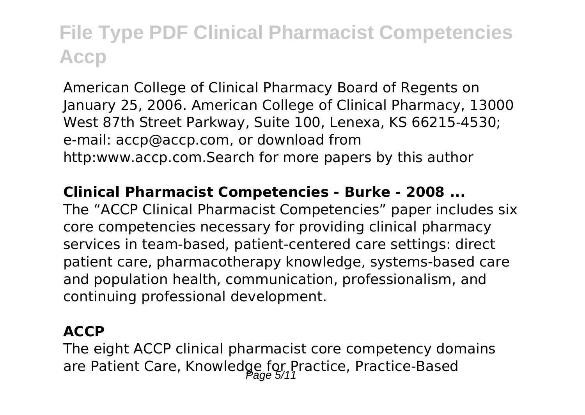American College of Clinical Pharmacy Board of Regents on January 25, 2006. American College of Clinical Pharmacy, 13000 West 87th Street Parkway, Suite 100, Lenexa, KS 66215‐4530; e‐mail: accp@accp.com, or download from http:www.accp.com.Search for more papers by this author

#### **Clinical Pharmacist Competencies - Burke - 2008 ...**

The "ACCP Clinical Pharmacist Competencies" paper includes six core competencies necessary for providing clinical pharmacy services in team-based, patient-centered care settings: direct patient care, pharmacotherapy knowledge, systems-based care and population health, communication, professionalism, and continuing professional development.

#### **ACCP**

The eight ACCP clinical pharmacist core competency domains are Patient Care, Knowledge for Practice, Practice-Based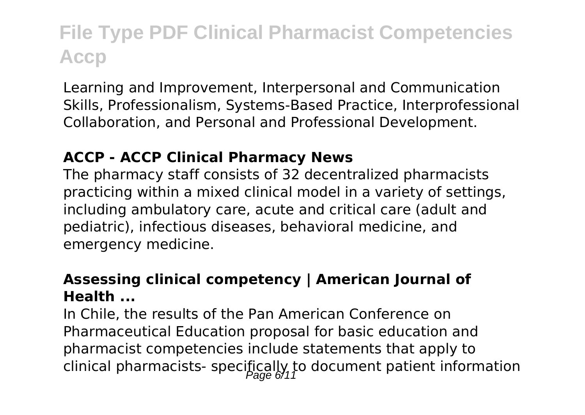Learning and Improvement, Interpersonal and Communication Skills, Professionalism, Systems-Based Practice, Interprofessional Collaboration, and Personal and Professional Development.

#### **ACCP - ACCP Clinical Pharmacy News**

The pharmacy staff consists of 32 decentralized pharmacists practicing within a mixed clinical model in a variety of settings, including ambulatory care, acute and critical care (adult and pediatric), infectious diseases, behavioral medicine, and emergency medicine.

#### **Assessing clinical competency | American Journal of Health ...**

In Chile, the results of the Pan American Conference on Pharmaceutical Education proposal for basic education and pharmacist competencies include statements that apply to clinical pharmacists- specifically to document patient information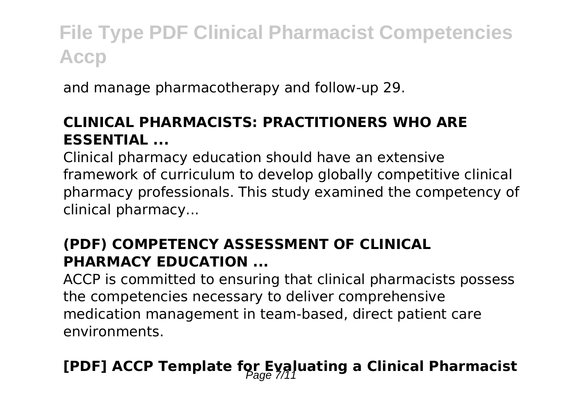and manage pharmacotherapy and follow-up 29.

#### **CLINICAL PHARMACISTS: PRACTITIONERS WHO ARE ESSENTIAL ...**

Clinical pharmacy education should have an extensive framework of curriculum to develop globally competitive clinical pharmacy professionals. This study examined the competency of clinical pharmacy...

#### **(PDF) COMPETENCY ASSESSMENT OF CLINICAL PHARMACY EDUCATION ...**

ACCP is committed to ensuring that clinical pharmacists possess the competencies necessary to deliver comprehensive medication management in team-based, direct patient care environments.

### **[PDF] ACCP Template for Evaluating a Clinical Pharmacist**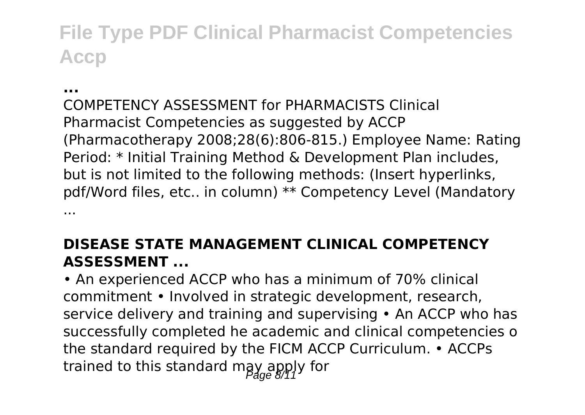#### **...**

COMPETENCY ASSESSMENT for PHARMACISTS Clinical Pharmacist Competencies as suggested by ACCP (Pharmacotherapy 2008;28(6):806-815.) Employee Name: Rating Period: \* Initial Training Method & Development Plan includes, but is not limited to the following methods: (Insert hyperlinks, pdf/Word files, etc.. in column) \*\* Competency Level (Mandatory ...

#### **DISEASE STATE MANAGEMENT CLINICAL COMPETENCY ASSESSMENT ...**

• An experienced ACCP who has a minimum of 70% clinical commitment • Involved in strategic development, research, service delivery and training and supervising • An ACCP who has successfully completed he academic and clinical competencies o the standard required by the FICM ACCP Curriculum. • ACCPs trained to this standard may apply for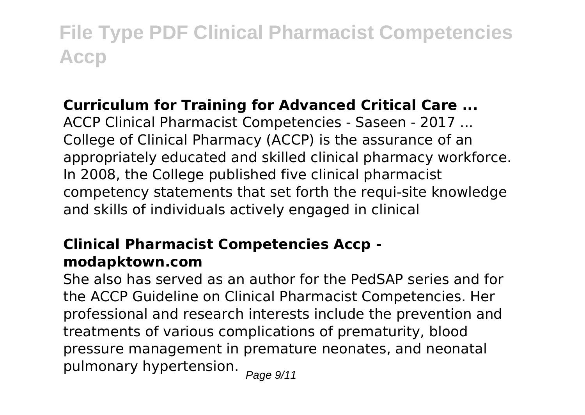#### **Curriculum for Training for Advanced Critical Care ...**

ACCP Clinical Pharmacist Competencies - Saseen - 2017 ... College of Clinical Pharmacy (ACCP) is the assurance of an appropriately educated and skilled clinical pharmacy workforce. In 2008, the College published five clinical pharmacist competency statements that set forth the requi-site knowledge and skills of individuals actively engaged in clinical

#### **Clinical Pharmacist Competencies Accp modapktown.com**

She also has served as an author for the PedSAP series and for the ACCP Guideline on Clinical Pharmacist Competencies. Her professional and research interests include the prevention and treatments of various complications of prematurity, blood pressure management in premature neonates, and neonatal pulmonary hypertension.  $_{Page\ 9/11}$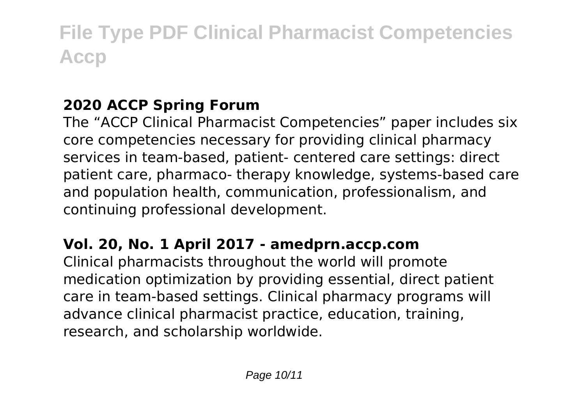### **2020 ACCP Spring Forum**

The "ACCP Clinical Pharmacist Competencies" paper includes six core competencies necessary for providing clinical pharmacy services in team-based, patient- centered care settings: direct patient care, pharmaco- therapy knowledge, systems-based care and population health, communication, professionalism, and continuing professional development.

#### **Vol. 20, No. 1 April 2017 - amedprn.accp.com**

Clinical pharmacists throughout the world will promote medication optimization by providing essential, direct patient care in team-based settings. Clinical pharmacy programs will advance clinical pharmacist practice, education, training, research, and scholarship worldwide.